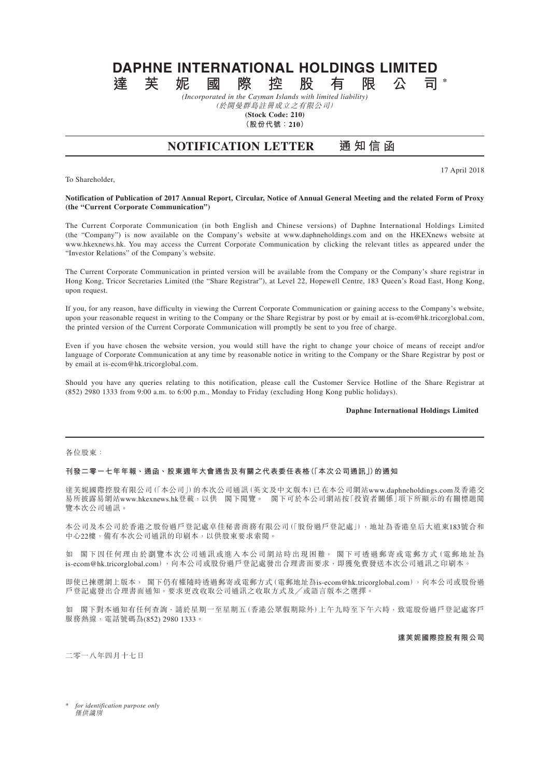# **DAPHNE INTERNATIONAL HOLDINGS LIMITED 達芙妮國際控股有限公司 \***

*(Incorporated in the Cayman Islands with limited liability)* (於開曼群島註冊成立之有限公司)

**(Stock Code: 210)**

**(股份代號:210)**

# **NOTIFICATION LETTER 通 知 信 函**

To Shareholder,

17 April 2018

### **Notification of Publication of 2017 Annual Report, Circular, Notice of Annual General Meeting and the related Form of Proxy (the "Current Corporate Communication")**

The Current Corporate Communication (in both English and Chinese versions) of Daphne International Holdings Limited (the "Company") is now available on the Company's website at www.daphneholdings.com and on the HKEXnews website at www.hkexnews.hk. You may access the Current Corporate Communication by clicking the relevant titles as appeared under the "Investor Relations" of the Company's website.

The Current Corporate Communication in printed version will be available from the Company or the Company's share registrar in Hong Kong, Tricor Secretaries Limited (the "Share Registrar"), at Level 22, Hopewell Centre, 183 Queen's Road East, Hong Kong, upon request.

If you, for any reason, have difficulty in viewing the Current Corporate Communication or gaining access to the Company's website, upon your reasonable request in writing to the Company or the Share Registrar by post or by email at is-ecom@hk.tricorglobal.com, the printed version of the Current Corporate Communication will promptly be sent to you free of charge.

Even if you have chosen the website version, you would still have the right to change your choice of means of receipt and/or language of Corporate Communication at any time by reasonable notice in writing to the Company or the Share Registrar by post or by email at is-ecom@hk.tricorglobal.com.

Should you have any queries relating to this notification, please call the Customer Service Hotline of the Share Registrar at (852) 2980 1333 from 9:00 a.m. to 6:00 p.m., Monday to Friday (excluding Hong Kong public holidays).

# **Daphne International Holdings Limited**

#### 各位股東:

## **刊發二零一七年年報、通函、股東週年大會通告及有關之代表委任表格(「本次公司通訊」)的通知**

達芙妮國際控股有限公司(「本公司」)的本次公司通訊(英文及中文版本)已在本公司網站www.daphneholdings.com及香港交 易所披露易網站www.hkexnews.hk登載,以供 閣下閱覽。 閣下可於本公司網站按「投資者關係」項下所顯示的有關標題閱 覽本次公司通訊。

本公司及本公司於香港之股份過戶登記處卓佳秘書商務有限公司(「股份過戶登記處」),地址為香港皇后大道東183號合和 中心22樓,備有本次公司通訊的印刷本,以供股東要求索閱。

如 閣下因任何理由於瀏覽本次公司通訊或進入本公司網站時出現困難, 閣下可透過郵寄或電郵方式(電郵地址為 is-ecom@hk.tricorglobal.com),向本公司或股份過戶登記處發出合理書面要求,即獲免費發送本次公司通訊之印刷本。

即使已揀選網上版本, 閣下仍有權隨時透過郵寄或電郵方式(電郵地址為is-ecom@hk.tricorglobal.com),向本公司或股份過 戶登記處發出合理書面通知,要求更改收取公司通訊之收取方式及╱或語言版本之選擇。

如 閣下對本通知有任何查詢,請於星期一至星期五(香港公眾假期除外)上午九時至下午六時,致電股份過戶登記處客戶 服務熱線,電話號碼為(852) 2980 1333。

**達芙妮國際控股有限公司**

二零一八年四月十七日

\* *for identification purpose only* 僅供識別